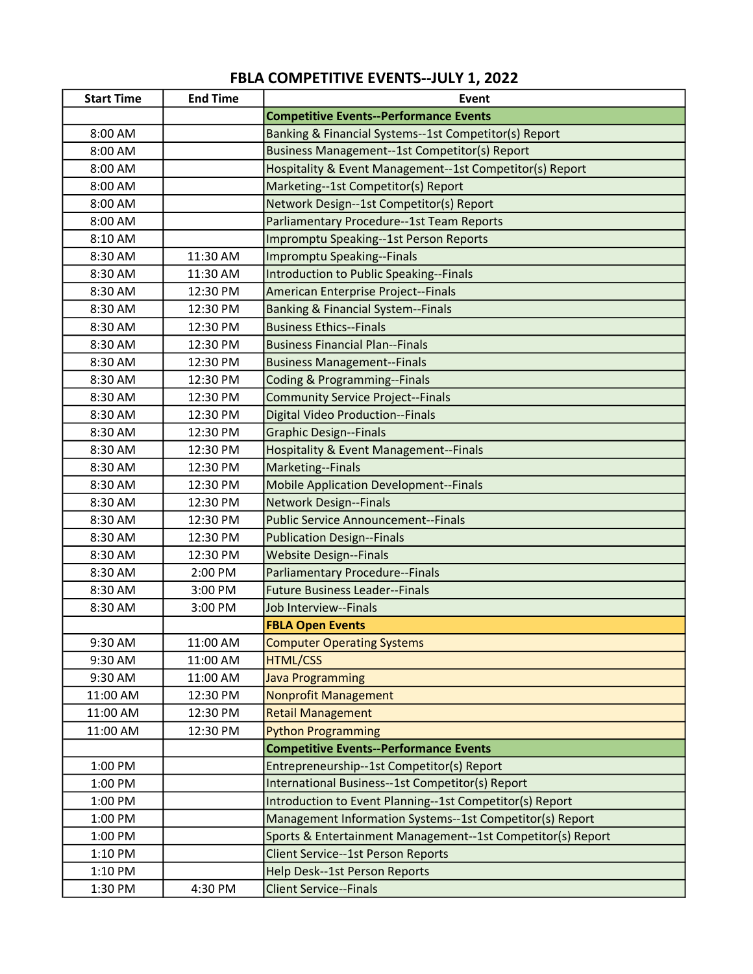## FBLA COMPETITIVE EVENTS--JULY 1, 2022

| <b>Start Time</b> | <b>End Time</b> | Event                                                       |
|-------------------|-----------------|-------------------------------------------------------------|
|                   |                 | <b>Competitive Events--Performance Events</b>               |
| 8:00 AM           |                 | Banking & Financial Systems--1st Competitor(s) Report       |
| 8:00 AM           |                 | Business Management--1st Competitor(s) Report               |
| 8:00 AM           |                 | Hospitality & Event Management--1st Competitor(s) Report    |
| 8:00 AM           |                 | Marketing--1st Competitor(s) Report                         |
| 8:00 AM           |                 | Network Design--1st Competitor(s) Report                    |
| 8:00 AM           |                 | Parliamentary Procedure--1st Team Reports                   |
| 8:10 AM           |                 | Impromptu Speaking--1st Person Reports                      |
| 8:30 AM           | 11:30 AM        | Impromptu Speaking--Finals                                  |
| 8:30 AM           | 11:30 AM        | Introduction to Public Speaking--Finals                     |
| 8:30 AM           | 12:30 PM        | American Enterprise Project--Finals                         |
| 8:30 AM           | 12:30 PM        | <b>Banking &amp; Financial System--Finals</b>               |
| 8:30 AM           | 12:30 PM        | <b>Business Ethics--Finals</b>                              |
| 8:30 AM           | 12:30 PM        | <b>Business Financial Plan--Finals</b>                      |
| 8:30 AM           | 12:30 PM        | <b>Business Management--Finals</b>                          |
| 8:30 AM           | 12:30 PM        | <b>Coding &amp; Programming--Finals</b>                     |
| 8:30 AM           | 12:30 PM        | <b>Community Service Project--Finals</b>                    |
| 8:30 AM           | 12:30 PM        | <b>Digital Video Production--Finals</b>                     |
| 8:30 AM           | 12:30 PM        | <b>Graphic Design--Finals</b>                               |
| 8:30 AM           | 12:30 PM        | <b>Hospitality &amp; Event Management--Finals</b>           |
| 8:30 AM           | 12:30 PM        | Marketing--Finals                                           |
| 8:30 AM           | 12:30 PM        | <b>Mobile Application Development--Finals</b>               |
| 8:30 AM           | 12:30 PM        | <b>Network Design--Finals</b>                               |
| 8:30 AM           | 12:30 PM        | <b>Public Service Announcement--Finals</b>                  |
| 8:30 AM           | 12:30 PM        | <b>Publication Design--Finals</b>                           |
| 8:30 AM           | 12:30 PM        | <b>Website Design--Finals</b>                               |
| 8:30 AM           | 2:00 PM         | <b>Parliamentary Procedure--Finals</b>                      |
| 8:30 AM           | 3:00 PM         | <b>Future Business Leader--Finals</b>                       |
| 8:30 AM           | 3:00 PM         | Job Interview--Finals                                       |
|                   |                 | <b>FBLA Open Events</b>                                     |
| 9:30 AM           | 11:00 AM        | <b>Computer Operating Systems</b>                           |
| 9:30 AM           | 11:00 AM        | <b>HTML/CSS</b>                                             |
| 9:30 AM           | 11:00 AM        | <b>Java Programming</b>                                     |
| 11:00 AM          | 12:30 PM        | <b>Nonprofit Management</b>                                 |
| 11:00 AM          | 12:30 PM        | <b>Retail Management</b>                                    |
| 11:00 AM          | 12:30 PM        | <b>Python Programming</b>                                   |
|                   |                 | <b>Competitive Events--Performance Events</b>               |
| 1:00 PM           |                 | Entrepreneurship--1st Competitor(s) Report                  |
| 1:00 PM           |                 | International Business--1st Competitor(s) Report            |
| 1:00 PM           |                 | Introduction to Event Planning--1st Competitor(s) Report    |
| 1:00 PM           |                 | Management Information Systems--1st Competitor(s) Report    |
| 1:00 PM           |                 | Sports & Entertainment Management--1st Competitor(s) Report |
| 1:10 PM           |                 | <b>Client Service--1st Person Reports</b>                   |
| 1:10 PM           |                 | Help Desk--1st Person Reports                               |
| 1:30 PM           | 4:30 PM         | <b>Client Service--Finals</b>                               |